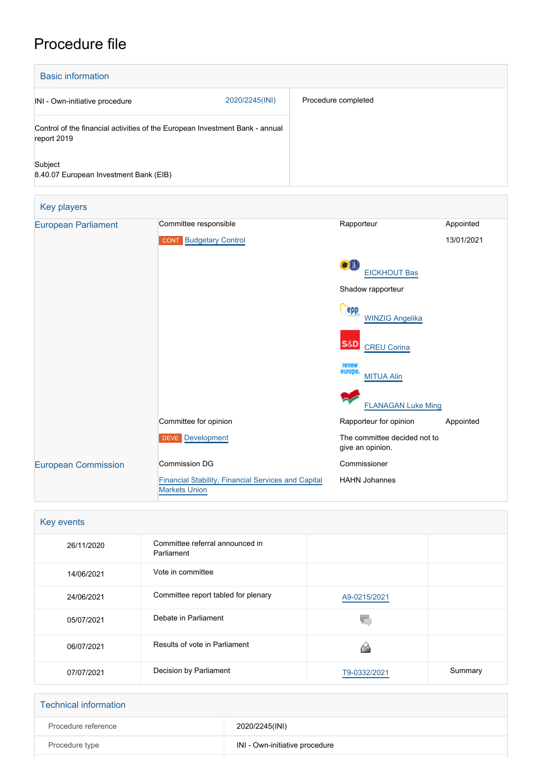# Procedure file

| <b>Basic information</b>                                                                    |                |                     |
|---------------------------------------------------------------------------------------------|----------------|---------------------|
| INI - Own-initiative procedure                                                              | 2020/2245(INI) | Procedure completed |
| Control of the financial activities of the European Investment Bank - annual<br>report 2019 |                |                     |
| Subject<br>8.40.07 European Investment Bank (EIB)                                           |                |                     |

| Key players                |                                                                             |                                                  |            |
|----------------------------|-----------------------------------------------------------------------------|--------------------------------------------------|------------|
| <b>European Parliament</b> | Committee responsible                                                       | Rapporteur                                       | Appointed  |
|                            | <b>Budgetary Control</b><br><b>CONT</b>                                     |                                                  | 13/01/2021 |
|                            |                                                                             | оĤ<br><b>EICKHOUT Bas</b>                        |            |
|                            |                                                                             | Shadow rapporteur                                |            |
|                            |                                                                             | <b>epp</b><br><b>WINZIG Angelika</b>             |            |
|                            |                                                                             | S&D<br><b>CREU Corina</b>                        |            |
|                            |                                                                             | renew<br>europe<br><b>MITUA Alin</b>             |            |
|                            |                                                                             | <b>FLANAGAN Luke Ming</b>                        |            |
|                            | Committee for opinion                                                       | Rapporteur for opinion                           | Appointed  |
|                            | DEVE Development                                                            | The committee decided not to<br>give an opinion. |            |
| <b>European Commission</b> | <b>Commission DG</b>                                                        | Commissioner                                     |            |
|                            | Financial Stability, Financial Services and Capital<br><b>Markets Union</b> | <b>HAHN Johannes</b>                             |            |

| Key events |                                               |              |         |
|------------|-----------------------------------------------|--------------|---------|
| 26/11/2020 | Committee referral announced in<br>Parliament |              |         |
| 14/06/2021 | Vote in committee                             |              |         |
| 24/06/2021 | Committee report tabled for plenary           | A9-0215/2021 |         |
| 05/07/2021 | Debate in Parliament                          |              |         |
| 06/07/2021 | Results of vote in Parliament                 |              |         |
| 07/07/2021 | Decision by Parliament                        | T9-0332/2021 | Summary |

| <b>Technical information</b> |                                |
|------------------------------|--------------------------------|
| Procedure reference          | 2020/2245(INI)                 |
| Procedure type               | INI - Own-initiative procedure |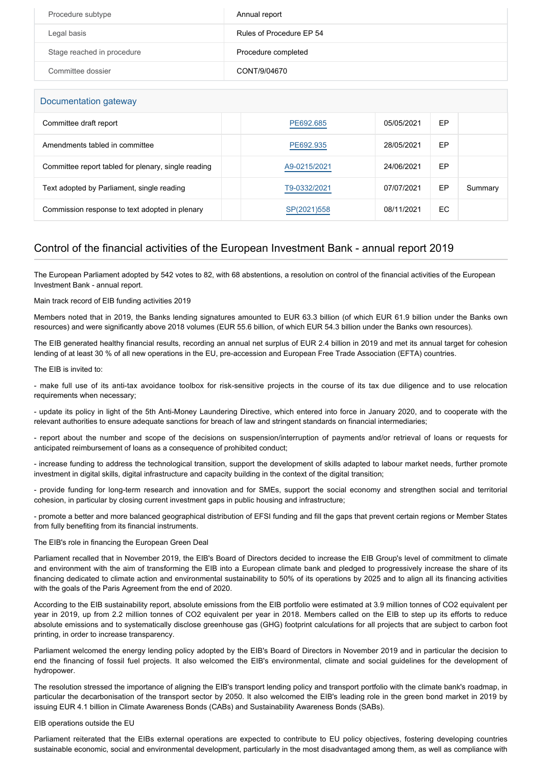| Procedure subtype          | Annual report            |
|----------------------------|--------------------------|
| Legal basis                | Rules of Procedure EP 54 |
| Stage reached in procedure | Procedure completed      |
| Committee dossier          | CONT/9/04670             |

| Documentation gateway                               |              |            |     |         |
|-----------------------------------------------------|--------------|------------|-----|---------|
| Committee draft report                              | PE692.685    | 05/05/2021 | EP  |         |
| Amendments tabled in committee                      | PE692.935    | 28/05/2021 | EP  |         |
| Committee report tabled for plenary, single reading | A9-0215/2021 | 24/06/2021 | EP  |         |
| Text adopted by Parliament, single reading          | T9-0332/2021 | 07/07/2021 | EP  | Summary |
| Commission response to text adopted in plenary      | SP(2021)558  | 08/11/2021 | EC. |         |

# Control of the financial activities of the European Investment Bank - annual report 2019

The European Parliament adopted by 542 votes to 82, with 68 abstentions, a resolution on control of the financial activities of the European Investment Bank - annual report.

# Main track record of EIB funding activities 2019

Members noted that in 2019, the Banks lending signatures amounted to EUR 63.3 billion (of which EUR 61.9 billion under the Banks own resources) and were significantly above 2018 volumes (EUR 55.6 billion, of which EUR 54.3 billion under the Banks own resources).

The EIB generated healthy financial results, recording an annual net surplus of EUR 2.4 billion in 2019 and met its annual target for cohesion lending of at least 30 % of all new operations in the EU, pre-accession and European Free Trade Association (EFTA) countries.

The EIB is invited to:

- make full use of its anti-tax avoidance toolbox for risk-sensitive projects in the course of its tax due diligence and to use relocation requirements when necessary;

- update its policy in light of the 5th Anti-Money Laundering Directive, which entered into force in January 2020, and to cooperate with the relevant authorities to ensure adequate sanctions for breach of law and stringent standards on financial intermediaries;

- report about the number and scope of the decisions on suspension/interruption of payments and/or retrieval of loans or requests for anticipated reimbursement of loans as a consequence of prohibited conduct;

- increase funding to address the technological transition, support the development of skills adapted to labour market needs, further promote investment in digital skills, digital infrastructure and capacity building in the context of the digital transition;

- provide funding for long-term research and innovation and for SMEs, support the social economy and strengthen social and territorial cohesion, in particular by closing current investment gaps in public housing and infrastructure;

- promote a better and more balanced geographical distribution of EFSI funding and fill the gaps that prevent certain regions or Member States from fully benefiting from its financial instruments.

## The EIB's role in financing the European Green Deal

Parliament recalled that in November 2019, the EIB's Board of Directors decided to increase the EIB Group's level of commitment to climate and environment with the aim of transforming the EIB into a European climate bank and pledged to progressively increase the share of its financing dedicated to climate action and environmental sustainability to 50% of its operations by 2025 and to align all its financing activities with the goals of the Paris Agreement from the end of 2020.

According to the EIB sustainability report, absolute emissions from the EIB portfolio were estimated at 3.9 million tonnes of CO2 equivalent per year in 2019, up from 2.2 million tonnes of CO2 equivalent per year in 2018. Members called on the EIB to step up its efforts to reduce absolute emissions and to systematically disclose greenhouse gas (GHG) footprint calculations for all projects that are subject to carbon foot printing, in order to increase transparency.

Parliament welcomed the energy lending policy adopted by the EIB's Board of Directors in November 2019 and in particular the decision to end the financing of fossil fuel projects. It also welcomed the EIB's environmental, climate and social guidelines for the development of hydropower.

The resolution stressed the importance of aligning the EIB's transport lending policy and transport portfolio with the climate bank's roadmap, in particular the decarbonisation of the transport sector by 2050. It also welcomed the EIB's leading role in the green bond market in 2019 by issuing EUR 4.1 billion in Climate Awareness Bonds (CABs) and Sustainability Awareness Bonds (SABs).

# EIB operations outside the EU

Parliament reiterated that the EIBs external operations are expected to contribute to EU policy objectives, fostering developing countries sustainable economic, social and environmental development, particularly in the most disadvantaged among them, as well as compliance with